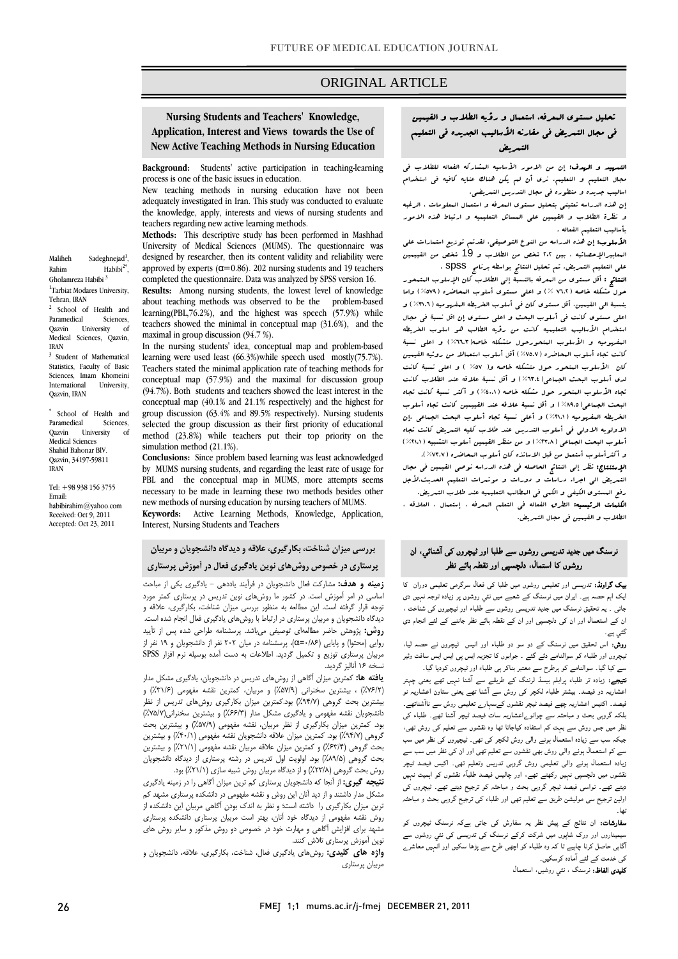## ORIGINAL ARTICLE

## **Nursing Students and Teachers' Knowledge, Application, Interest and Views towards the Use of New Active Teaching Methods in Nursing Education**

**Background:** Students' active participation in teaching-learning process is one of the basic issues in education.

New teaching methods in nursing education have not been adequately investigated in Iran. This study was conducted to evaluate the knowledge, apply, interests and views of nursing students and teachers regarding new active learning methods.

**Methods:** This descriptive study has been performed in Mashhad University of Medical Sciences (MUMS). The questionnaire was designed by researcher, then its content validity and reliability were approved by experts ( $\alpha$ =0.86). 202 nursing students and 19 teachers completed the questionnaire. Data was analyzed by SPSS version 16.

**Results:** Among nursing students, the lowest level of knowledge about teaching methods was observed to be the problem-based learning(PBL,76.2%), and the highest was speech (57.9%) while teachers showed the minimal in conceptual map (31.6%), and the maximal in group discussion (94.7 %).

In the nursing students' idea, conceptual map and problem-based learning were used least (66.3%)while speech used mostly(75.7%). Teachers stated the minimal application rate of teaching methods for conceptual map (57.9%) and the maximal for discussion group (94.7%). Both students and teachers showed the least interest in the conceptual map (40.1% and 21.1% respectively) and the highest for group discussion (63.4% and 89.5% respectively). Nursing students selected the group discussion as their first priority of educational method (23.8%) while teachers put their top priority on the simulation method (21.1%).

**Conclusions:** Since problem based learning was least acknowledged by MUMS nursing students, and regarding the least rate of usage for PBL and the conceptual map in MUMS, more attempts seems necessary to be made in learning these two methods besides other new methods of nursing education by nursing teachers of MUMS. **Keywords:** Active Learning Methods, Knowledge, Application,

Interest, Nursing Students and Teachers

# **پرستاري در خصوص روشهاي نوين يادگيري فعال در آموزش پرستاريبررسي ميزان شناخت، بكارگيري، علاقه و ديدگاه دانشجويان و مربيان**

 **زمينه و هدف:** مشاركت فعال دانشجويان در فرآيند ياددهي - يادگيري يكي از مباحث اساسي در امر آموزش است. در كشور ما روشهاي نوين تدريس در پرستاري كمتر مورد .<br>ديدگاه دانشجويان و مربيان پرستاري در ارتباط با روشهاي يادگيري فعال انجام شده است. **روش:** پژوهش حاضر مطالعهاي توصيفي ميباشد. پرسشنامه طراحي شده پس از تأييد روايي (محتوا) و پايايي (α=۰/۸۶)، پرسشنامه در ميان ۲۰۲ نفر از دانشجويان و ۱۹ نفر از<br>مصطفحات از دانشجوی از دانشجوی از دانشجویی از دانشجویان و ۱۰۰۰ مربيان پرستاري توزيع و تكميل گرديد. اطلاعات به دست آمده بوسيله نرم افزار SPSS توجه قرار گرفته است. اين مطالعه به منظور بررسي ميزان شناخت، بكارگيري، علاقه و ....<br>نسخه ۱۶ آناليز گرديد.

 **يافته ها:** كمترين ميزان آگاهي از روشهاي تدريس در دانشجويان، يادگيري مشكل مدار بيشترين بحث گروهي (%94/7) بود.كمترين ميزان بكارگيري روشهاي تدريس از نظر دانشجويان نقشه مفهومي و يادگيري مشكل مدار (%66/3) و بيشترين سخنراني(%75/7) بود. كمترين ميزان بكارگيري از نظر مربيان، نقشه مفهومي (۵۷/۹٪) و بيشترين بحث<br>محمد الله هندين براي كريستان بارسيان بارستين بارستان (۱۱) هندين بحث گروهي (%63/4) و كمترين ميزان علاقه مربيان نقشه مفهومي (%21/1) و بيشترين بحث گروهي (%89/5) بود. اولويت اول تدريس در رشته پرستاري از ديدگاه دانشجويان (%76/2) ، بيشترين سخنراني (%57/9) و مربيان، كمترين نقشه مفهومي (%31/6) و گروهي (%94/7) بود. كمترين ميزان علاقه دانشجويان نقشه مفهومي (%40/1) و بيشترين روش بحث گروهي (%23/8) و از ديدگاه مربيان روش شبيه سازي (%21/1) بود.

 **نتيجه گيري:** از آنجا كه دانشجويان پرستاري كم ترين ميزان آگاهي را در زمينه يادگيري مشكل مدار داشتند و از ديد آنان اين روش و نقشه مفهومي در دانشكده پرستاري مشهد كم برين ميران بمار بيري را دانسه است. و نفر به اندت بوتن احسی مربيان اين دانسكند از<br>روش نقشه مفهومي از ديدگاه خود آنان، بهتر است مربيان پرستاري دانشكده پرستاري مشهد براي افزايش آگاهي و مهارت خود در خصوص دو روش مذكور و ساير روش هاي نوين آموزش پرستاري تلاش كنند. ترين ميزان بكارگيري را داشته است؛ و نظر به اندك بودن آگاهي مربيان اين دانشكده از

 **واژه هاي كليدي:** روشهاي يادگيري فعال، شناخت، بكارگيري، علاقه، دانشجويان و مربيان پرستاري

# تحليل مستوي المعرفه، استعمال و رؤيه الطلاب و القيمين في مجال التمريض في مقارنه الأساليب الجديده في التعليم التمريض

Ī

 التمهيد و الهدف: إن من الامور الأساسيه المشاركه الفعاله للطلاب في اساليب جديده و متطوره في مجال التدريس التمريضي. مجال التعليم و التعليم. نري أن لم يكن هناك عنايه كافيه في استخدام

 إن هذه الدراسه تعتيني بتحليل مستوي المعرفه و استعمال المعلومات ، الرغبه و نظرة الطلاب و القيمين علي المسائل التعليميه و ارتباط هذه الامور بأساليب التعليم الفعاله .

.<br>**الأسلوب:** إن هذه الدراسه من النوع التوصيفي. لقدتم توزيع استمارات على المعاييرالإحصائيه ، بين 202 شخص من الطلاب و 19 شخص من القييمين  $\ddot{\phantom{0}}$ علي التعليم التمريض. تم تحليل النتائج بواسطه برنامج spss .

.<br>. بنسبة الي القيمين، أقل مستوي كان في أسلوب الخريطه المفهوميه (%31.6) و اعلي مستوي كانت في أسلوب البحث و اعلي مستوي إن اقل نسبة في مجال استعدام المدحانيب المتنينية كانت من روية العالب عو المتوجه المتربعة<br>البقهومية و الأسلوب البتحورحول متشكله خاصه(17.8%) و اعلي نسبة كانت تجاه أسلوب المحاضره (%75.7) أقل أسلوب استعمالا من روئيه القيمين كان الأسلوب المتحور حول متشكله خاصه و( %57 ) و اعلي نسبة كانت لدى أسلوب البحث الجماعي( ٣٦.٤%) و أقل نسبة علاقه عند الطلاب كانت<br>. البحث الجماعي(%89.5) و أقل نسبة علاقه عند القييمين كانت تجاه أسلوب الخريطه المفهوميه (%21.1) و أعلي نسبة تجاه أسلوب البحث الجماعي .إن الاولويه الاولى في أسلوب التدريس عند طلاب كليه التعريض كانت تجاه<br>. و . . . .<br>و أكثرأسلوب أستعمل من قبل الاساتذه كان أسلوب البعاضره ( ٧٢.٧٪). النتائج : أقل مستوي من المعرفه بالنسبة إلي الطلاب كان الإسلوب المتمحور حول مشكله خاصه (76.2 %) و اعلي مستوي أسلوب المحاضره (%579) واما استخدام الأساليب التعليميه كانت من رؤيه الطالب هو اسلوب الخريطه تجاه الأسلوب المتحور حول مشكله خاصه (%40.1) و أكثر نسبة كانت تجاه أسلوب البحث الجماعي (%23.8) و من منظر القيمين أسلوب التشبيه (%21.1)

 الإستنتاج: نظر إلي النتائج الحاصله في هذه الدراسه نوصي القيمين في مجال التمريض الي اجراء دراسات و دورات و موتمرات التعليم الحديث.لأجل - ح - رحمه - و - ح - ي ع - س ع .<br>**الكلمات الرئيسيه:** الطرق الفعاله في التعلم البعرفه ، إستعمال ، العلاقه ، الطلاب و القيمين في مجال التمريض. رفع المستوي الكيفي و الكمي في المطالب التعليميه عند طلاب التمريض.

## نرسنگ میں جدید تدریسی روشوں سے طلبا اور ٹیچروں کی آشنائي، ان روشوں کا استمال، دلچسپی اور نقطہ ہائے نظر

بیک گراونڈ: تدریسی اور تعلیمی روشوں میں طلبا کی فعال سرگرمی تعلیمی دوران کا ایک اہم حصہ ہے۔ ایران میں نرسنگ کے شعبے میں نئي روشوں پر زیادہ توجہ نہيں دی جاتی ۔ یہ تحقیق نرسنگ میں جدید تدریسی روشوں سے طلباء اور ٹیچیروں کی شناخت ، ان کے استعمال اور ان کی دلچسپی اور ان کے نقطہ ہائے نظر جاننے کے لئے انجام دی گئي ہے۔

روش: اس تحقیق میں نرسنگ کے دو سو دو طلباء اور انیس ٹیچروں نے حصہ لیا، ٹیچروں اور طلباء کو سوالنامے دئے گئے ۔ جوابوں کا تجزیہ ایس پی ایس ایس سافٹ وئیر سے کیا گيا۔ سوالنامے کو ہرطرح سے معتبر بناکر ہی طلباء اور ٹیچروں کودیا گيا۔

نتیجے: زیادہ تر طلباء پرابلم بیسڈ لرننگ کے طریقے سے آشنا نہیں تھے یعنی چہتر اعشاریہ دو فیصد۔ بیشتر طلباء لکچر کی روش سے آشنا تھے یعنی ستاون اعشاریہ نو فیصد۔ اکتیس اعشاریہ چھے فیصد ٹیچر نقشوں کےسہارے تعلیمی روش سے ناآشناتھے۔ بلکہ گروہی بحث و مباحثہ سے چوانوےاعشاریہ سات فیصد ٹیچر آشنا تھے۔ طلباء کی نظر میں جس روش سے بہت کم استفادہ کیاجاتا تھا وہ نقشوں سے تعلیم کی روش تھی، جبکہ سب سے زیادہ استعمال ہونے والی روش لکچر کی تھی۔ ٹیچیروں کی نظر میں سب سے کم استعمال ہونے والی روش بھی نقشوں سے تعلیم تھی اور ان کی نظر میں سب سے زیادہ استعمال ہونے والی تعلیمی روش گروہی تدریس وتعلیم تھی۔ اکیس فیصد ٹیچر نقشوں میں دلچسپی نہیں رکھتے تھے، اور چالیس فیصد طلبآء نقشوں کو اہمیت نہیں دیتے تھے۔ نواسی فیصد ٹیچر گروہی بحث و مباحثہ کو ترجیح دیتے تھے۔ ٹیچروں کی اولین ترجیح سی مولیشن طریق سے تعلیم تھی اور طلباء کی ترجیح گروہی بحث و مباحثہ تھا۔

سفارشات: ان نتائج کے پیش نظر یہ سفارش کی جاتی ہےکہ نرسنگ ٹیچروں کو سیمیناروں اور ورک شاپوں میں شرکت کرکے نرسنگ کی تدریسی کی نئي روشوں سے آگاہی حاصل کرنا چاہیے تا کہ وہ طلباء کو اچھی طرح سے پڑھا سکیں اور انہیں معاشرے کی خدمت کے لئے آمادہ کرسکیں۔

کلیدی الفاظ: نرسنگ ، نئي روشیں، استعمال

Maliheh Sadeghnejad<sup>1</sup><br>Rahim Habibi<sup>21</sup> ,  $H$ ahihi $^{2*}$ Gholamreza Habibi 3 <sup>1</sup>Tarbiat Modares University, Tehran, IRAN <sup>2</sup> School of Health and Paramedical Sciences,<br>Qazvin University of University Medical Sciences, Qazvin, IRAN <sup>3</sup> Student of Mathematical

Statistics, Faculty of Basic Sciences, Imam Khomeini<br>International University International Qazvin, IRAN

\* School of Health and Paramedical Sciences, Qazvin University Medical Sciences Shahid Bahonar BlV. Qazvin, 34197-59811 IRAN

Tel: +98 938 156 3755 Email: habibirahim@yahoo.com Received: Oct 9, 2011 Accepted: Oct 23, 2011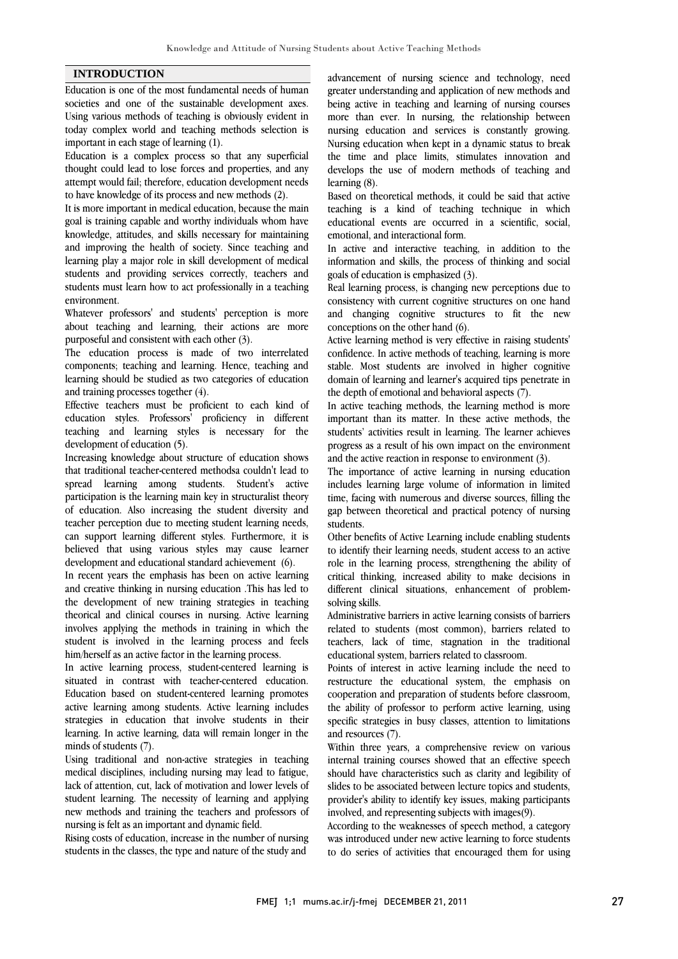#### **INTRODUCTION**

Education is one of the most fundamental needs of human societies and one of the sustainable development axes. Using various methods of teaching is obviously evident in today complex world and teaching methods selection is important in each stage of learning (1).

Education is a complex process so that any superficial thought could lead to lose forces and properties, and any attempt would fail; therefore, education development needs to have knowledge of its process and new methods (2).

It is more important in medical education, because the main goal is training capable and worthy individuals whom have knowledge, attitudes, and skills necessary for maintaining and improving the health of society. Since teaching and learning play a major role in skill development of medical students and providing services correctly, teachers and students must learn how to act professionally in a teaching environment.

Whatever professors' and students' perception is more about teaching and learning, their actions are more purposeful and consistent with each other (3).

The education process is made of two interrelated components; teaching and learning. Hence, teaching and learning should be studied as two categories of education and training processes together (4).

Effective teachers must be proficient to each kind of education styles. Professors' proficiency in different teaching and learning styles is necessary for the development of education (5).

Increasing knowledge about structure of education shows that traditional teacher-centered methodsa couldn't lead to spread learning among students. Student's active participation is the learning main key in structuralist theory of education. Also increasing the student diversity and teacher perception due to meeting student learning needs, can support learning different styles. Furthermore, it is believed that using various styles may cause learner development and educational standard achievement (6).

In recent years the emphasis has been on active learning and creative thinking in nursing education .This has led to the development of new training strategies in teaching theorical and clinical courses in nursing. Active learning involves applying the methods in training in which the student is involved in the learning process and feels him/herself as an active factor in the learning process.

In active learning process, student-centered learning is situated in contrast with teacher-centered education. Education based on student-centered learning promotes active learning among students. Active learning includes strategies in education that involve students in their learning. In active learning, data will remain longer in the minds of students (7).

Using traditional and non-active strategies in teaching medical disciplines, including nursing may lead to fatigue, lack of attention, cut, lack of motivation and lower levels of student learning. The necessity of learning and applying new methods and training the teachers and professors of nursing is felt as an important and dynamic field.

Rising costs of education, increase in the number of nursing students in the classes, the type and nature of the study and

 advancement of nursing science and technology, need greater understanding and application of new methods and being active in teaching and learning of nursing courses more than ever. In nursing, the relationship between Nursing education when kept in a dynamic status to break the time and place limits, stimulates innovation and develops the use of modern methods of teaching and learning (8). nursing education and services is constantly growing.

 teaching is a kind of teaching technique in which educational events are occurred in a scientific, social, emotional, and interactional form. Based on theoretical methods, it could be said that active

 In active and interactive teaching, in addition to the goals of education is emphasized (3). information and skills, the process of thinking and social

 Real learning process, is changing new perceptions due to consistency with current cognitive structures on one hand and changing cognitive structures to fit the new conceptions on the other hand (6).

 Active learning method is very effective in raising students' confidence. In active methods of teaching, learning is more stable. Most students are involved in higher cognitive domain of learning and learner's acquired tips penetrate in the depth of emotional and behavioral aspects (7).

In active teaching methods, the learning method is more important than its matter. In these active methods, the students' activities result in learning. The learner achieves progress as a result of his own impact on the environment and the active reaction in response to environment (3).

The importance of active learning in nursing education includes learning large volume of information in limited time, facing with numerous and diverse sources, filling the gap between theoretical and practical potency of nursing students.

 Other benefits of Active Learning include enabling students to identify their learning needs, student access to an active role in the learning process, strengthening the ability of critical thinking, increased ability to make decisions in solving skills. different clinical situations, enhancement of problem-

 Administrative barriers in active learning consists of barriers related to students (most common), barriers related to teachers, lack of time, stagnation in the traditional educational system, barriers related to classroom.

Points of interest in active learning include the need to restructure the educational system, the emphasis on cooperation and preparation of students before classroom, the ability of professor to perform active learning, using and resources (7). specific strategies in busy classes, attention to limitations

 Within three years, a comprehensive review on various internal training courses showed that an effective speech should have characteristics such as clarity and legibility of provider's ability to identify key issues, making participants involved, and representing subjects with images(9). slides to be associated between lecture topics and students,

 According to the weaknesses of speech method, a category was introduced under new active learning to force students to do series of activities that encouraged them for using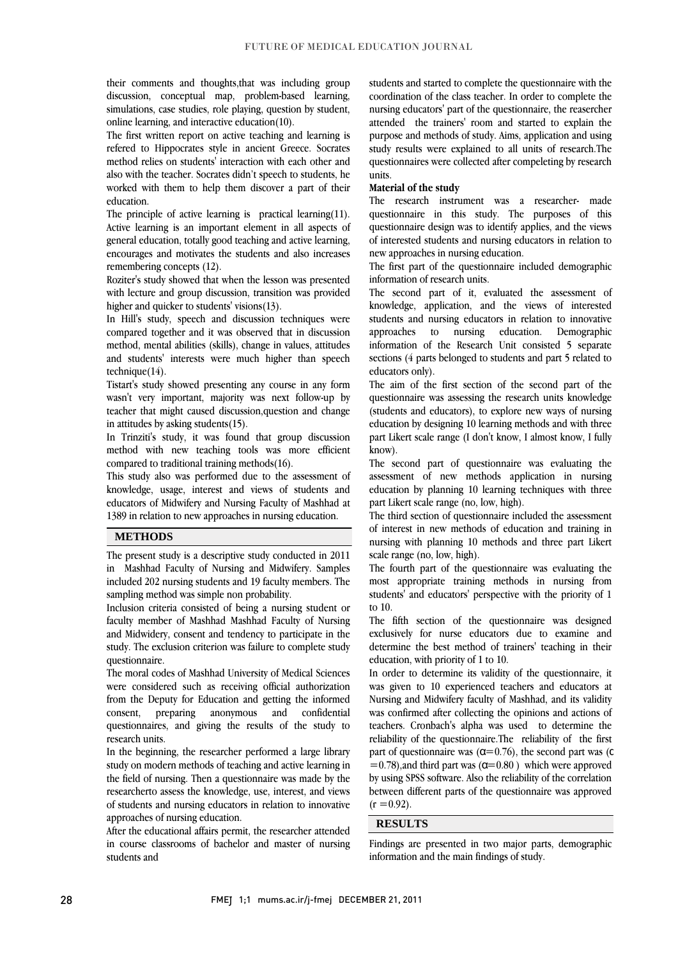their comments and thoughts,that was including group simulations, case studies, role playing, question by student, discussion, conceptual map, problem-based learning, online learning, and interactive education(10).

 The first written report on active teaching and learning is refered to Hippocrates style in ancient Greece. Socrates also with the teacher. Socrates didn't speech to students, he worked with them to help them discover a part of their method relies on students' interaction with each other and education.

 The principle of active learning is practical learning(11). general education, totally good teaching and active learning, encourages and motivates the students and also increases Active learning is an important element in all aspects of remembering concepts (12).

 Roziter's study showed that when the lesson was presented with lecture and group discussion, transition was provided higher and quicker to students' visions(13).

 In Hill's study, speech and discussion techniques were compared together and it was observed that in discussion and students' interests were much higher than speech method, mental abilities (skills), change in values, attitudes technique(14).

 Tistart's study showed presenting any course in any form wasn't very important, majority was next follow-up by teacher that might caused discussion,question and change in attitudes by asking students(15).

In Trinziti's study, it was found that group discussion method with new teaching tools was more efficient compared to traditional training methods(16).

 knowledge, usage, interest and views of students and educators of Midwifery and Nursing Faculty of Mashhad at 1389 in relation to new approaches in nursing education. This study also was performed due to the assessment of

ֺׅׅ֝֬֘֝֬֝֬

#### **METHODS**

 The present study is a descriptive study conducted in 2011 in Mashhad Faculty of Nursing and Midwifery. Samples included 202 nursing students and 19 faculty members. The sampling method was simple non probability.

 faculty member of Mashhad Mashhad Faculty of Nursing and Midwidery, consent and tendency to participate in the study. The exclusion criterion was failure to complete study Inclusion criteria consisted of being a nursing student or questionnaire.

were considered such as receiving official authorization from the Deputy for Education and getting the informed confidential questionnaires, and giving the results of the study to The moral codes of Mashhad University of Medical Sciences consent, preparing anonymous and research units.

 In the beginning, the researcher performed a large library study on modern methods of teaching and active learning in the field of nursing. Then a questionnaire was made by the researcherto assess the knowledge, use, interest, and views of students and nursing educators in relation to innovative approaches of nursing education.

 After the educational affairs permit, the researcher attended in course classrooms of bachelor and master of nursing students and

 students and started to complete the questionnaire with the nursing educators' part of the questionnaire, the reasercher attended the trainers' room and started to explain the purpose and methods of study. Aims, application and using study results were explained to all units of research.The questionnaires were collected after compeleting by research<br>units coordination of the class teacher. In order to complete the units.

#### **Material of the study**

 The research instrument was a researcher- made questionnaire design was to identify applies, and the views of interested students and nursing educators in relation to questionnaire in this study. The purposes of this new approaches in nursing education.

 The first part of the questionnaire included demographic information of research units.

 The second part of it, evaluated the assessment of knowledge, application, and the views of interested students and nursing educators in relation to innovative approaches to nursing education. Demographic sections (4 parts belonged to students and part 5 related to information of the Research Unit consisted 5 separate educators only).

 The aim of the first section of the second part of the questionnaire was assessing the research units knowledge education by designing 10 learning methods and with three part Likert scale range (I don't know, I almost know, I fully (students and educators), to explore new ways of nursing know).

 The second part of questionnaire was evaluating the education by planning 10 learning techniques with three assessment of new methods application in nursing part Likert scale range (no, low, high).

 The third section of questionnaire included the assessment of interest in new methods of education and training in nursing with planning 10 methods and three part Likert scale range (no, low, high).

 The fourth part of the questionnaire was evaluating the most appropriate training methods in nursing from students' and educators' perspective with the priority of 1 to 10.

 The fifth section of the questionnaire was designed exclusively for nurse educators due to examine and determine the best method of trainers' teaching in their education, with priority of 1 to 10.

equeation, with priority of 1 to 10.<br>In order to determine its validity of the questionnaire, it was given to 10 experienced teachers and educators at Nursing and Midwifery faculty of Mashhad, and its validity was confirmed after collecting the opinions and actions of teachers. Cronbach's alpha was used to determine the part of questionnaire was  $(\alpha = 0.76)$ , the second part was ( $\alpha$  $=$  0.78), and third part was ( $\alpha$ = 0.80) which were approved by using SPSS software. Also the reliability of the correlation between different parts of the questionnaire was approved  $\overline{a}$ reliability of the questionnaire.The reliability of the first  $(r = 0.92)$ .

#### **RESULTS**

 Findings are presented in two major parts, demographic information and the main findings of study.

 $\overline{a}$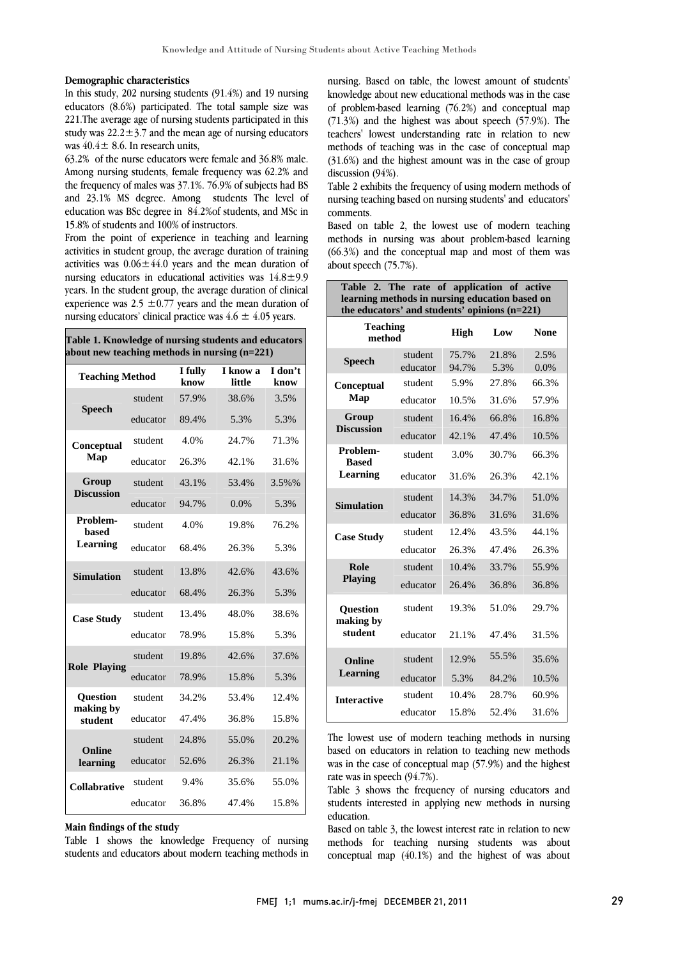#### **Demographic characteristics**

In this study, 202 nursing students (91.4%) and 19 nursing educators (8.6%) participated. The total sample size was 221.The average age of nursing students participated in this study was  $22.2 \pm 3.7$  and the mean age of nursing educators was  $40.4 \pm 8.6$ . In research units,

63.2% of the nurse educators were female and 36.8% male. Among nursing students, female frequency was 62.2% and the frequency of males was 37.1%. 76.9% of subjects had BS and 23.1% MS degree. Among students The level of education was BSc degree in 84.2%of students, and MSc in 15.8% of students and 100% of instructors.

From the point of experience in teaching and learning activities in student group, the average duration of training activities was  $0.06 \pm 44.0$  years and the mean duration of nursing educators in educational activities was 14.8±9.9 years. In the student group, the average duration of clinical experience was 2.5  $\pm$ 0.77 years and the mean duration of nursing educators' clinical practice was  $4.6 \pm 4.05$  years.

|  |  |  |                                                 | Table 1. Knowledge of nursing students and educators |
|--|--|--|-------------------------------------------------|------------------------------------------------------|
|  |  |  | about new teaching methods in nursing $(n=221)$ |                                                      |

| <b>Teaching Method</b>       |          | I fully<br>know | I know a<br>little | I don't<br>know |
|------------------------------|----------|-----------------|--------------------|-----------------|
|                              | student  | 57.9%           | 38.6%              | 3.5%            |
| <b>Speech</b>                | educator | 89.4%           | 5.3%               | 5.3%            |
| Conceptual                   | student  | 4.0%            | 24.7%              | 71.3%           |
| Map                          | educator | 26.3%           | 42.1%              | 31.6%           |
| Group                        | student  | 43.1%           | 53.4%              | 3.5%%           |
| <b>Discussion</b>            | educator | 94.7%           | 0.0%               | 5.3%            |
| Problem-<br><b>based</b>     | student  | 4.0%            | 19.8%              | 76.2%           |
| Learning                     | educator | 68.4%           | 26.3%              | 5.3%            |
| <b>Simulation</b>            | student  | 13.8%           | 42.6%              | 43.6%           |
|                              | educator | 68.4%           | 26.3%              | 5.3%            |
| <b>Case Study</b>            | student  | 13.4%           | 48.0%              | 38.6%           |
|                              | educator | 78.9%           | 15.8%              | 5.3%            |
| <b>Role Playing</b>          | student  | 19.8%           | 42.6%              | 37.6%           |
|                              | educator | 78.9%           | 15.8%              | 5.3%            |
| <b>Ouestion</b><br>making by | student  | 34.2%           | 53.4%              | 12.4%           |
| student                      | educator | 47.4%           | 36.8%              | 15.8%           |
| Online                       | student  | 24.8%           | 55.0%              | 20.2%           |
| learning                     | educator | 52.6%           | 26.3%              | 21.1%           |
| <b>Collabrative</b>          | student  | 9.4%            | 35.6%              | 55.0%           |
|                              | educator | 36.8%           | 47.4%              | 15.8%           |

**Main findings of the study** 

Table 1 shows the knowledge Frequency of nursing students and educators about modern teaching methods in  nursing. Based on table, the lowest amount of students' knowledge about new educational methods was in the case of problem-based learning (76.2%) and conceptual map (71.3%) and the highest was about speech (57.9%). The teachers' lowest understanding rate in relation to new (31.6%) and the highest amount was in the case of group discussion (94%). methods of teaching was in the case of conceptual map

 Table 2 exhibits the frequency of using modern methods of nursing teaching based on nursing students' and educators' comments.

 Based on table 2, the lowest use of modern teaching methods in nursing was about problem-based learning (66.3%) and the conceptual map and most of them was about speech (75.7%).

| Table 2. The rate of application of active<br>learning methods in nursing education based on<br>the educators' and students' opinions (n=221) |                     |                |               |              |  |
|-----------------------------------------------------------------------------------------------------------------------------------------------|---------------------|----------------|---------------|--------------|--|
| <b>Teaching</b><br>method                                                                                                                     | High                | Low            | None          |              |  |
| <b>Speech</b>                                                                                                                                 | student<br>educator | 75.7%<br>94.7% | 21.8%<br>5.3% | 2.5%<br>0.0% |  |
| Conceptual                                                                                                                                    | student             | 5.9%           | 27.8%         | 66.3%        |  |
| Map                                                                                                                                           | educator            | 10.5%          | 31.6%         | 57.9%        |  |
| Group                                                                                                                                         | student             | 16.4%          | 66.8%         | 16.8%        |  |
| <b>Discussion</b>                                                                                                                             | educator            | 42.1%          | 47.4%         | 10.5%        |  |
| Problem-<br><b>Based</b>                                                                                                                      | student             | 3.0%           | 30.7%         | 66.3%        |  |
| Learning                                                                                                                                      | educator            | 31.6%          | 26.3%         | 42.1%        |  |
| <b>Simulation</b>                                                                                                                             | student             | 14.3%          | 34.7%         | 51.0%        |  |
|                                                                                                                                               | educator            | 36.8%          | 31.6%         | 31.6%        |  |
| <b>Case Study</b>                                                                                                                             | student             | 12.4%          | 43.5%         | 44.1%        |  |
|                                                                                                                                               | educator            | 26.3%          | 47.4%         | 26.3%        |  |
| Role                                                                                                                                          | student             | 10.4%          | 33.7%         | 55.9%        |  |
| <b>Playing</b>                                                                                                                                | educator            | 26.4%          | 36.8%         | 36.8%        |  |
| Question<br>making by                                                                                                                         | student             | 19.3%          | 51.0%         | 29.7%        |  |
| student                                                                                                                                       | educator            | 21.1%          | 47.4%         | 31.5%        |  |
| Online                                                                                                                                        | student             | 12.9%          | 55.5%         | 35.6%        |  |
| Learning                                                                                                                                      | educator            | 5.3%           | 84.2%         | 10.5%        |  |
| <b>Interactive</b>                                                                                                                            | student             | 10.4%          | 28.7%         | 60.9%        |  |
|                                                                                                                                               | educator            | 15.8%          | 52.4%         | 31.6%        |  |

 The lowest use of modern teaching methods in nursing based on educators in relation to teaching new methods was in the case of conceptual map (57.9%) and the highest rate was in speech (94.7%).

 Table 3 shows the frequency of nursing educators and education. students interested in applying new methods in nursing

 Based on table 3, the lowest interest rate in relation to new methods for teaching nursing students was about conceptual map (40.1%) and the highest of was about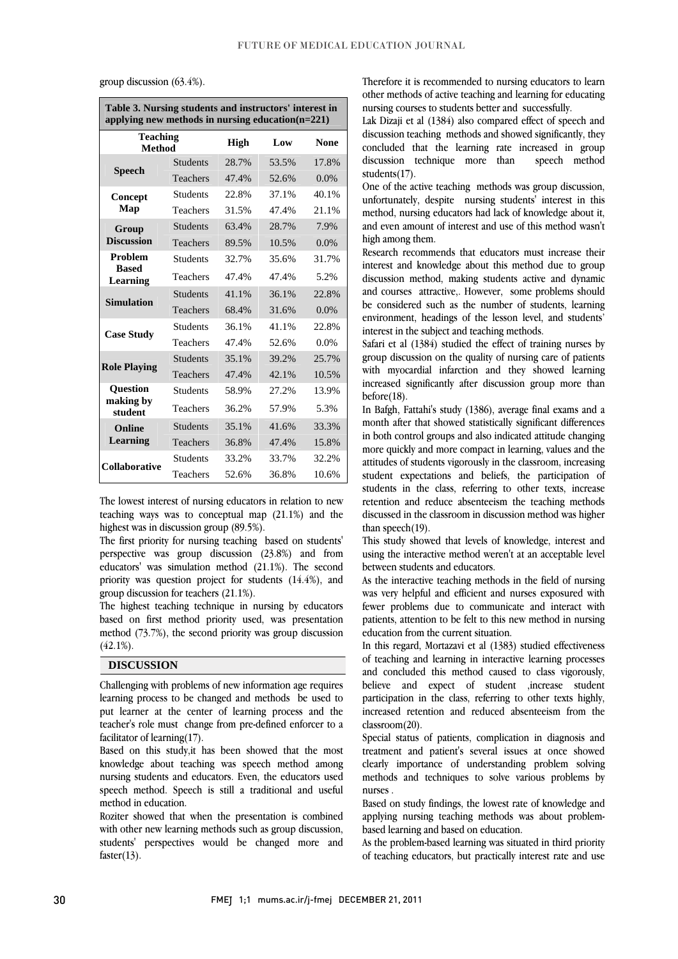| group discussion $(63.4\%)$ . |  |
|-------------------------------|--|
|                               |  |

| Table 3. Nursing students and instructors' interest in<br>applying new methods in nursing education $(n=221)$ |                 |       |             |         |  |
|---------------------------------------------------------------------------------------------------------------|-----------------|-------|-------------|---------|--|
| <b>Teaching</b><br><b>Method</b>                                                                              | <b>High</b>     | Low   | <b>None</b> |         |  |
| <b>Speech</b>                                                                                                 | <b>Students</b> | 28.7% | 53.5%       | 17.8%   |  |
|                                                                                                               | Teachers        | 47.4% | 52.6%       | $0.0\%$ |  |
| Concept                                                                                                       | Students        | 22.8% | 37.1%       | 40.1%   |  |
| Map                                                                                                           | Teachers        | 31.5% | 47.4%       | 21.1%   |  |
| Group                                                                                                         | <b>Students</b> | 63.4% | 28.7%       | 7.9%    |  |
| <b>Discussion</b>                                                                                             | Teachers        | 89.5% | 10.5%       | $0.0\%$ |  |
| <b>Problem</b>                                                                                                | Students        | 32.7% | 35.6%       | 31.7%   |  |
| <b>Based</b><br>Learning                                                                                      | Teachers        | 47.4% | 47.4%       | 5.2%    |  |
| <b>Simulation</b>                                                                                             | <b>Students</b> | 41.1% | 36.1%       | 22.8%   |  |
|                                                                                                               | Teachers        | 68.4% | 31.6%       | $0.0\%$ |  |
|                                                                                                               | <b>Students</b> | 36.1% | 41.1%       | 22.8%   |  |
| <b>Case Study</b>                                                                                             | Teachers        | 47.4% | 52.6%       | $0.0\%$ |  |
|                                                                                                               | <b>Students</b> | 35.1% | 39.2%       | 25.7%   |  |
| <b>Role Playing</b>                                                                                           | Teachers        | 47.4% | 42.1%       | 10.5%   |  |
| <b>Question</b>                                                                                               | <b>Students</b> | 58.9% | 27.2%       | 13.9%   |  |
| making by<br>student                                                                                          | Teachers        | 36.2% | 57.9%       | 5.3%    |  |
| <b>Online</b>                                                                                                 | <b>Students</b> | 35.1% | 41.6%       | 33.3%   |  |
| <b>Learning</b>                                                                                               | Teachers        | 36.8% | 47.4%       | 15.8%   |  |
| <b>Collaborative</b>                                                                                          | <b>Students</b> | 33.2% | 33.7%       | 32.2%   |  |
|                                                                                                               | Teachers        | 52.6% | 36.8%       | 10.6%   |  |

group discussion (63.4%).

 The lowest interest of nursing educators in relation to new teaching ways was to conceptual map (21.1%) and the highest was in discussion group (89.5%).

mgnest was in discussion group (09.9%).<br>The first priority for nursing teaching based on students' perspective was group discussion (23.8%) and from educators' was simulation method (21.1%). The second priority was question project for students (14.4%), and group discussion for teachers (21.1%).

group discussion for teachers  $(21.1\%)$ .<br>The highest teaching technique in nursing by educators based on first method priority used, was presentation method (73.7%), the second priority was group discussion  $(42.1\%)$ .

#### **DISCUSSION**

 Challenging with problems of new information age requires learning process to be changed and methods be used to put learner at the center of learning process and the teacher's role must change from pre-defined enforcer to a facilitator of learning(17).

Based on this study, it has been showed that the most knowledge about teaching was speech method among nursing students and educators. Even, the educators used speech method. Speech is still a traditional and useful method in education.

 Roziter showed that when the presentation is combined with other new learning methods such as group discussion, students' perspectives would be changed more and faster $(13)$ .

 Therefore it is recommended to nursing educators to learn other methods of active teaching and learning for educating nursing courses to students better and successfully.

 Lak Dizaji et al (1384) also compared effect of speech and discussion teaching methods and showed significantly, they speech method concluded that the learning rate increased in group discussion technique more than students(17).

 One of the active teaching methods was group discussion, unfortunately, despite nursing students' interest in this and even amount of interest and use of this method wasn't method, nursing educators had lack of knowledge about it, high among them.

 Research recommends that educators must increase their interest and knowledge about this method due to group and courses attractive,. However, some problems should be considered such as the number of students, learning environment, headings of the lesson level, and students' discussion method, making students active and dynamic interest in the subject and teaching methods.

mierest in the subject and teaching methods.<br>Safari et al (1384) studied the effect of training nurses by group discussion on the quality of nursing care of patients with myocardial infarction and they showed learning increased significantly after discussion group more than before(18).

 In Bafgh, Fattahi's study (1386), average final exams and a m *baga*, radam's statistically significant differences in both control groups and also indicated attitude changing more quickly and more compact in learning, values and the attitudes of students vigorously in the classroom, increasing students in the class, referring to other texts, increase retention and reduce absenteeism the teaching methods discussed in the classroom in discussion method was higher student expectations and beliefs, the participation of than speech(19).

 This study showed that levels of knowledge, interest and using the interactive method weren't at an acceptable level between students and educators.

 As the interactive teaching methods in the field of nursing was very helpful and efficient and nurses exposured with patients, attention to be felt to this new method in nursing fewer problems due to communicate and interact with education from the current situation.

 In this regard, Mortazavi et al (1383) studied effectiveness of teaching and learning in interactive learning processes believe and expect of student ,increase student participation in the class, referring to other texts highly, increased retention and reduced absenteeism from the and concluded this method caused to class vigorously, classroom(20).

 Special status of patients, complication in diagnosis and treatment and patient's several issues at once showed clearly importance of understanding problem solving methods and techniques to solve various problems by nurses .

 Based on study findings, the lowest rate of knowledge and applying nursing teaching methods was about problembased learning and based on education.

 As the problem-based learning was situated in third priority of teaching educators, but practically interest rate and use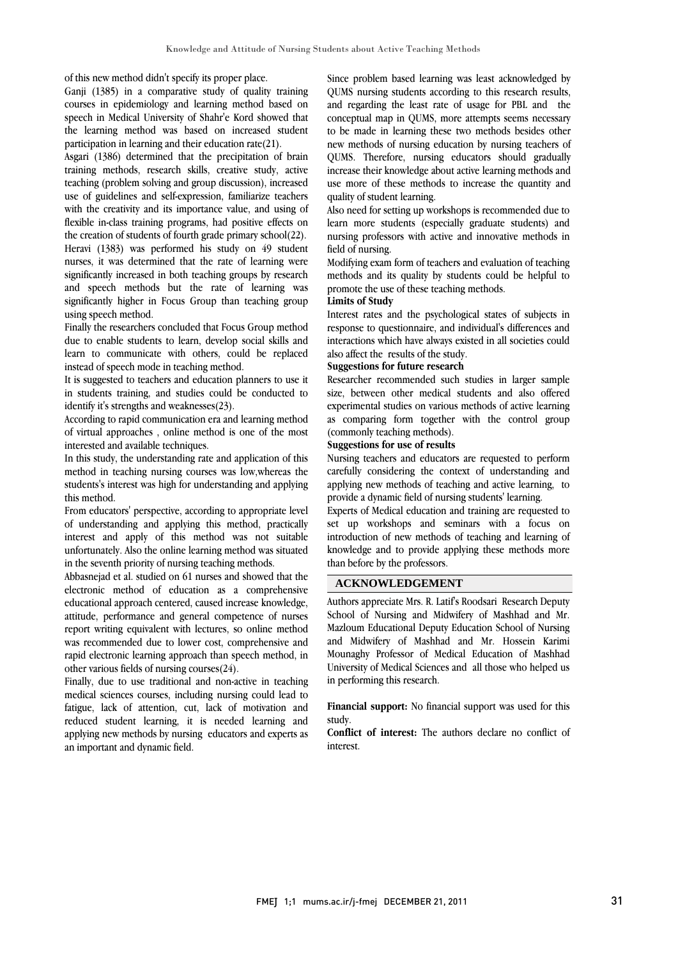of this new method didn't specify its proper place.

Ganji (1385) in a comparative study of quality training courses in epidemiology and learning method based on speech in Medical University of Shahr'e Kord showed that the learning method was based on increased student participation in learning and their education rate(21).

Asgari (1386) determined that the precipitation of brain training methods, research skills, creative study, active teaching (problem solving and group discussion), increased use of guidelines and self-expression, familiarize teachers with the creativity and its importance value, and using of flexible in-class training programs, had positive effects on the creation of students of fourth grade primary school(22). Heravi (1383) was performed his study on 49 student nurses, it was determined that the rate of learning were significantly increased in both teaching groups by research and speech methods but the rate of learning was significantly higher in Focus Group than teaching group using speech method.

Finally the researchers concluded that Focus Group method due to enable students to learn, develop social skills and learn to communicate with others, could be replaced instead of speech mode in teaching method.

It is suggested to teachers and education planners to use it in students training, and studies could be conducted to identify it's strengths and weaknesses(23).

According to rapid communication era and learning method of virtual approaches , online method is one of the most interested and available techniques.

In this study, the understanding rate and application of this method in teaching nursing courses was low,whereas the students's interest was high for understanding and applying this method.

From educators' perspective, according to appropriate level of understanding and applying this method, practically interest and apply of this method was not suitable unfortunately. Also the online learning method was situated in the seventh priority of nursing teaching methods.

Abbasnejad et al. studied on 61 nurses and showed that the electronic method of education as a comprehensive educational approach centered, caused increase knowledge, attitude, performance and general competence of nurses report writing equivalent with lectures, so online method was recommended due to lower cost, comprehensive and rapid electronic learning approach than speech method, in other various fields of nursing courses(24).

Finally, due to use traditional and non-active in teaching medical sciences courses, including nursing could lead to fatigue, lack of attention, cut, lack of motivation and reduced student learning, it is needed learning and applying new methods by nursing educators and experts as an important and dynamic field.

 Since problem based learning was least acknowledged by QUMS nursing students according to this research results, and regarding the least rate of usage for PBL and the conceptual map in QUMS, more attempts seems necessary new methods of nursing education by nursing teachers of QUMS. Therefore, nursing educators should gradually increase their knowledge about active learning methods and use more of these methods to increase the quantity and to be made in learning these two methods besides other quality of student learning.

 Also need for setting up workshops is recommended due to learn more students (especially graduate students) and nursing professors with active and innovative methods in field of nursing.

modifying exam form of teachers and evaluation of teaching<br>methods and its quality by students could be helpful to promote the use of these teaching methods. Modifying exam form of teachers and evaluation of teaching

## **Limits of Study**

 Interest rates and the psychological states of subjects in interactions which have always existed in all societies could also affect the results of the study. response to questionnaire, and individual's differences and

### **Suggestions for future research**

 Researcher recommended such studies in larger sample experimental studies on various methods of active learning as comparing form together with the control group (commonly teaching methods). size, between other medical students and also offered

# **Suggestions for use of results**

carefully considering the context of understanding and applying new methods of teaching and active learning, to provide a dynamic field of nursing students' learning. Nursing teachers and educators are requested to perform

 Experts of Medical education and training are requested to introduction of new methods of teaching and learning of knowledge and to provide applying these methods more than before by the professors. set up workshops and seminars with a focus on

## **ACKNOWLEDGEMENT**

 Authors appreciate Mrs. R. Latif's Roodsari Research Deputy School of Nursing and Midwifery of Mashhad and Mr. Mazloum Educational Deputy Education School of Nursing Mounaghy Professor of Medical Education of Mashhad University of Medical Sciences and all those who helped us in performing this research. and Midwifery of Mashhad and Mr. Hossein Karimi

 study. **Financial support:** No financial support was used for this

 **Conflict of interest:** The authors declare no conflict of interest.